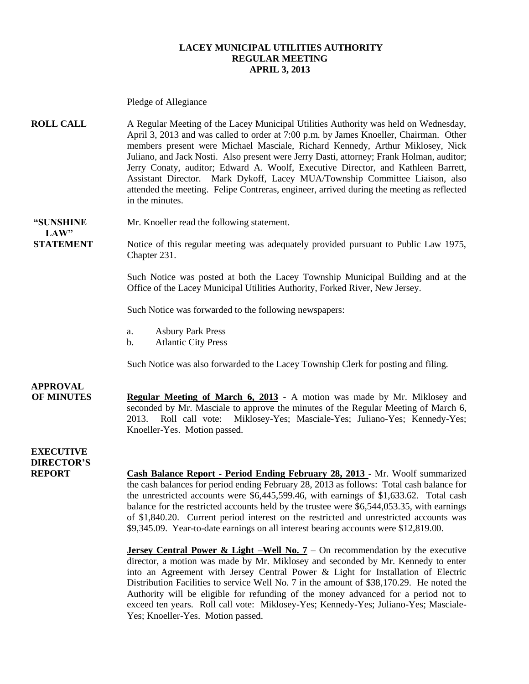#### **LACEY MUNICIPAL UTILITIES AUTHORITY REGULAR MEETING APRIL 3, 2013**

Pledge of Allegiance **ROLL CALL** A Regular Meeting of the Lacey Municipal Utilities Authority was held on Wednesday, April 3, 2013 and was called to order at 7:00 p.m. by James Knoeller, Chairman. Other members present were Michael Masciale, Richard Kennedy, Arthur Miklosey, Nick Juliano, and Jack Nosti. Also present were Jerry Dasti, attorney; Frank Holman, auditor; Jerry Conaty, auditor; Edward A. Woolf, Executive Director, and Kathleen Barrett, Assistant Director. Mark Dykoff, Lacey MUA/Township Committee Liaison, also attended the meeting. Felipe Contreras, engineer, arrived during the meeting as reflected in the minutes. **"SUNSHINE** Mr. Knoeller read the following statement. **LAW" STATEMENT** Notice of this regular meeting was adequately provided pursuant to Public Law 1975, Chapter 231. Such Notice was posted at both the Lacey Township Municipal Building and at the Office of the Lacey Municipal Utilities Authority, Forked River, New Jersey. Such Notice was forwarded to the following newspapers: a. Asbury Park Press b. Atlantic City Press Such Notice was also forwarded to the Lacey Township Clerk for posting and filing. **APPROVAL OF MINUTES Regular Meeting of March 6, 2013 -** A motion was made by Mr. Miklosey and seconded by Mr. Masciale to approve the minutes of the Regular Meeting of March 6, 2013. Roll call vote: Miklosey-Yes; Masciale-Yes; Juliano-Yes; Kennedy-Yes; Knoeller-Yes. Motion passed. **EXECUTIVE DIRECTOR'S REPORT Cash Balance Report - Period Ending February 28, 2013** - Mr. Woolf summarized the cash balances for period ending February 28, 2013 as follows: Total cash balance for the unrestricted accounts were \$6,445,599.46, with earnings of \$1,633.62. Total cash balance for the restricted accounts held by the trustee were \$6,544,053.35, with earnings of \$1,840.20. Current period interest on the restricted and unrestricted accounts was \$9,345.09. Year-to-date earnings on all interest bearing accounts were \$12,819.00. **Jersey Central Power & Light –Well No. 7 – On recommendation by the executive** director, a motion was made by Mr. Miklosey and seconded by Mr. Kennedy to enter into an Agreement with Jersey Central Power & Light for Installation of Electric Distribution Facilities to service Well No. 7 in the amount of \$38,170.29. He noted the Authority will be eligible for refunding of the money advanced for a period not to exceed ten years. Roll call vote: Miklosey-Yes; Kennedy-Yes; Juliano-Yes; Masciale-

Yes; Knoeller-Yes. Motion passed.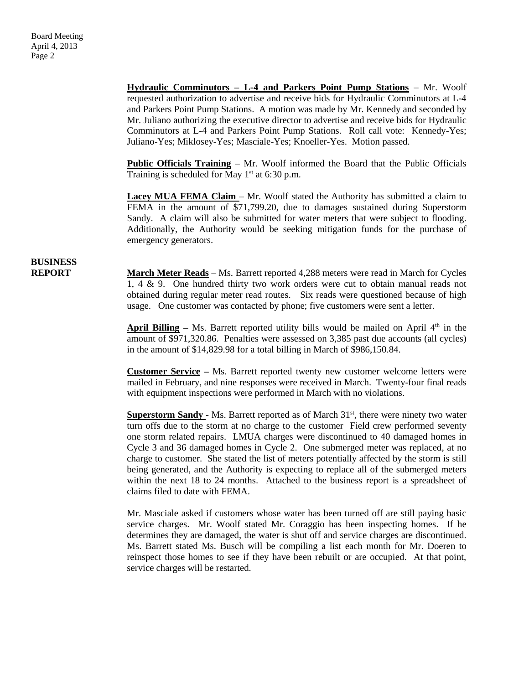**Hydraulic Comminutors – L-4 and Parkers Point Pump Stations** – Mr. Woolf requested authorization to advertise and receive bids for Hydraulic Comminutors at L-4 and Parkers Point Pump Stations. A motion was made by Mr. Kennedy and seconded by Mr. Juliano authorizing the executive director to advertise and receive bids for Hydraulic Comminutors at L-4 and Parkers Point Pump Stations. Roll call vote: Kennedy-Yes; Juliano-Yes; Miklosey-Yes; Masciale-Yes; Knoeller-Yes. Motion passed.

**Public Officials Training** – Mr. Woolf informed the Board that the Public Officials Training is scheduled for May  $1<sup>st</sup>$  at 6:30 p.m.

**Lacey MUA FEMA Claim** – Mr. Woolf stated the Authority has submitted a claim to FEMA in the amount of \$71,799.20, due to damages sustained during Superstorm Sandy. A claim will also be submitted for water meters that were subject to flooding. Additionally, the Authority would be seeking mitigation funds for the purchase of emergency generators.

### **BUSINESS**

**REPORT March Meter Reads** – Ms. Barrett reported 4,288 meters were read in March for Cycles 1, 4 & 9. One hundred thirty two work orders were cut to obtain manual reads not obtained during regular meter read routes. Six reads were questioned because of high usage. One customer was contacted by phone; five customers were sent a letter.

> **April Billing** – Ms. Barrett reported utility bills would be mailed on April  $4<sup>th</sup>$  in the amount of \$971,320.86. Penalties were assessed on 3,385 past due accounts (all cycles) in the amount of \$14,829.98 for a total billing in March of \$986,150.84.

> **Customer Service –** Ms. Barrett reported twenty new customer welcome letters were mailed in February, and nine responses were received in March. Twenty-four final reads with equipment inspections were performed in March with no violations.

> Superstorm Sandy - Ms. Barrett reported as of March 31<sup>st</sup>, there were ninety two water turn offs due to the storm at no charge to the customer Field crew performed seventy one storm related repairs. LMUA charges were discontinued to 40 damaged homes in Cycle 3 and 36 damaged homes in Cycle 2. One submerged meter was replaced, at no charge to customer. She stated the list of meters potentially affected by the storm is still being generated, and the Authority is expecting to replace all of the submerged meters within the next 18 to 24 months. Attached to the business report is a spreadsheet of claims filed to date with FEMA.

> Mr. Masciale asked if customers whose water has been turned off are still paying basic service charges. Mr. Woolf stated Mr. Coraggio has been inspecting homes. If he determines they are damaged, the water is shut off and service charges are discontinued. Ms. Barrett stated Ms. Busch will be compiling a list each month for Mr. Doeren to reinspect those homes to see if they have been rebuilt or are occupied. At that point, service charges will be restarted.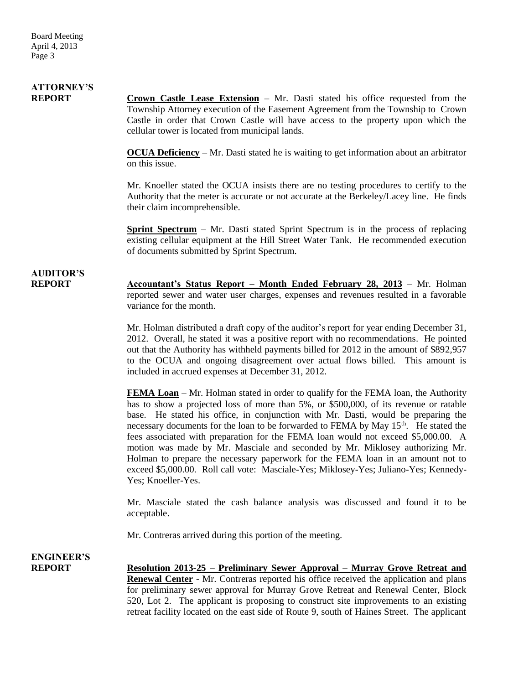# **ATTORNEY'S**

**REPORT Crown Castle Lease Extension** – Mr. Dasti stated his office requested from the Township Attorney execution of the Easement Agreement from the Township to Crown Castle in order that Crown Castle will have access to the property upon which the cellular tower is located from municipal lands.

> **OCUA Deficiency** – Mr. Dasti stated he is waiting to get information about an arbitrator on this issue.

> Mr. Knoeller stated the OCUA insists there are no testing procedures to certify to the Authority that the meter is accurate or not accurate at the Berkeley/Lacey line. He finds their claim incomprehensible.

> **Sprint Spectrum** – Mr. Dasti stated Sprint Spectrum is in the process of replacing existing cellular equipment at the Hill Street Water Tank. He recommended execution of documents submitted by Sprint Spectrum.

# **AUDITOR'S**

**REPORT Accountant's Status Report – Month Ended February 28, 2013** – Mr. Holman reported sewer and water user charges, expenses and revenues resulted in a favorable variance for the month.

> Mr. Holman distributed a draft copy of the auditor's report for year ending December 31, 2012. Overall, he stated it was a positive report with no recommendations. He pointed out that the Authority has withheld payments billed for 2012 in the amount of \$892,957 to the OCUA and ongoing disagreement over actual flows billed. This amount is included in accrued expenses at December 31, 2012.

> **FEMA Loan** – Mr. Holman stated in order to qualify for the FEMA loan, the Authority has to show a projected loss of more than 5%, or \$500,000, of its revenue or ratable base. He stated his office, in conjunction with Mr. Dasti, would be preparing the necessary documents for the loan to be forwarded to FEMA by May  $15<sup>th</sup>$ . He stated the fees associated with preparation for the FEMA loan would not exceed \$5,000.00. A motion was made by Mr. Masciale and seconded by Mr. Miklosey authorizing Mr. Holman to prepare the necessary paperwork for the FEMA loan in an amount not to exceed \$5,000.00. Roll call vote: Masciale-Yes; Miklosey-Yes; Juliano-Yes; Kennedy-Yes; Knoeller-Yes.

> Mr. Masciale stated the cash balance analysis was discussed and found it to be acceptable.

Mr. Contreras arrived during this portion of the meeting.

**ENGINEER'S**

**REPORT Resolution 2013-25 – Preliminary Sewer Approval – Murray Grove Retreat and Renewal Center** - Mr. Contreras reported his office received the application and plans for preliminary sewer approval for Murray Grove Retreat and Renewal Center, Block 520, Lot 2. The applicant is proposing to construct site improvements to an existing retreat facility located on the east side of Route 9, south of Haines Street. The applicant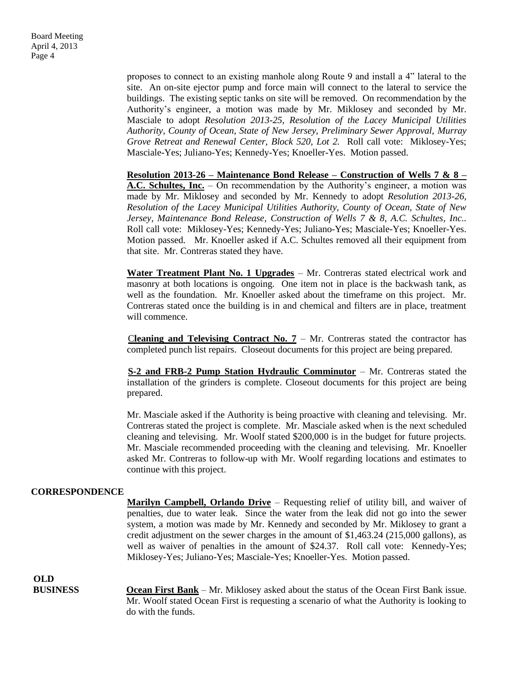proposes to connect to an existing manhole along Route 9 and install a 4" lateral to the site. An on-site ejector pump and force main will connect to the lateral to service the buildings. The existing septic tanks on site will be removed. On recommendation by the Authority's engineer, a motion was made by Mr. Miklosey and seconded by Mr. Masciale to adopt *Resolution 2013-25, Resolution of the Lacey Municipal Utilities Authority, County of Ocean, State of New Jersey, Preliminary Sewer Approval, Murray Grove Retreat and Renewal Center, Block 520, Lot 2.* Roll call vote: Miklosey-Yes; Masciale-Yes; Juliano-Yes; Kennedy-Yes; Knoeller-Yes. Motion passed.

**Resolution 2013-26 – Maintenance Bond Release – Construction of Wells 7 & 8 – A.C. Schultes, Inc.** – On recommendation by the Authority's engineer, a motion was made by Mr. Miklosey and seconded by Mr. Kennedy to adopt *Resolution 2013-26, Resolution of the Lacey Municipal Utilities Authority, County of Ocean, State of New Jersey, Maintenance Bond Release, Construction of Wells 7 & 8, A.C. Schultes, Inc..*  Roll call vote: Miklosey-Yes; Kennedy-Yes; Juliano-Yes; Masciale-Yes; Knoeller-Yes. Motion passed. Mr. Knoeller asked if A.C. Schultes removed all their equipment from that site. Mr. Contreras stated they have.

**Water Treatment Plant No. 1 Upgrades** – Mr. Contreras stated electrical work and masonry at both locations is ongoing. One item not in place is the backwash tank, as well as the foundation. Mr. Knoeller asked about the timeframe on this project. Mr. Contreras stated once the building is in and chemical and filters are in place, treatment will commence.

**Cleaning and Televising Contract No.**  $7 - Mr$ **.** Contreras stated the contractor has completed punch list repairs. Closeout documents for this project are being prepared.

 **S-2 and FRB-2 Pump Station Hydraulic Comminutor** – Mr. Contreras stated the installation of the grinders is complete. Closeout documents for this project are being prepared.

Mr. Masciale asked if the Authority is being proactive with cleaning and televising. Mr. Contreras stated the project is complete. Mr. Masciale asked when is the next scheduled cleaning and televising. Mr. Woolf stated \$200,000 is in the budget for future projects. Mr. Masciale recommended proceeding with the cleaning and televising. Mr. Knoeller asked Mr. Contreras to follow-up with Mr. Woolf regarding locations and estimates to continue with this project.

#### **CORRESPONDENCE**

**Marilyn Campbell, Orlando Drive** – Requesting relief of utility bill, and waiver of penalties, due to water leak. Since the water from the leak did not go into the sewer system, a motion was made by Mr. Kennedy and seconded by Mr. Miklosey to grant a credit adjustment on the sewer charges in the amount of \$1,463.24 (215,000 gallons), as well as waiver of penalties in the amount of \$24.37. Roll call vote: Kennedy-Yes; Miklosey-Yes; Juliano-Yes; Masciale-Yes; Knoeller-Yes. Motion passed.

**OLD**

**BUSINESS** Ocean First Bank – Mr. Miklosey asked about the status of the Ocean First Bank issue. Mr. Woolf stated Ocean First is requesting a scenario of what the Authority is looking to do with the funds.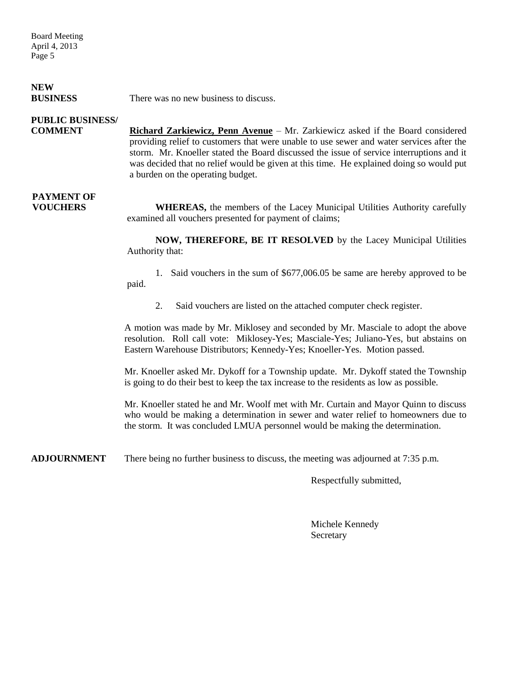Board Meeting April 4, 2013 Page 5

### **NEW**

**BUSINESS** There was no new business to discuss.

### **PUBLIC BUSINESS/**

**COMMENT Richard Zarkiewicz, Penn Avenue** – Mr. Zarkiewicz asked if the Board considered providing relief to customers that were unable to use sewer and water services after the storm. Mr. Knoeller stated the Board discussed the issue of service interruptions and it was decided that no relief would be given at this time. He explained doing so would put a burden on the operating budget.

## **PAYMENT OF**

**FOUCHERS** WHEREAS, the members of the Lacey Municipal Utilities Authority carefully examined all vouchers presented for payment of claims;

> **NOW, THEREFORE, BE IT RESOLVED** by the Lacey Municipal Utilities Authority that:

> 1. Said vouchers in the sum of \$677,006.05 be same are hereby approved to be paid.

2. Said vouchers are listed on the attached computer check register.

A motion was made by Mr. Miklosey and seconded by Mr. Masciale to adopt the above resolution. Roll call vote: Miklosey-Yes; Masciale-Yes; Juliano-Yes, but abstains on Eastern Warehouse Distributors; Kennedy-Yes; Knoeller-Yes. Motion passed.

Mr. Knoeller asked Mr. Dykoff for a Township update. Mr. Dykoff stated the Township is going to do their best to keep the tax increase to the residents as low as possible.

Mr. Knoeller stated he and Mr. Woolf met with Mr. Curtain and Mayor Quinn to discuss who would be making a determination in sewer and water relief to homeowners due to the storm. It was concluded LMUA personnel would be making the determination.

**ADJOURNMENT** There being no further business to discuss, the meeting was adjourned at 7:35 p.m.

Respectfully submitted,

Michele Kennedy **Secretary**